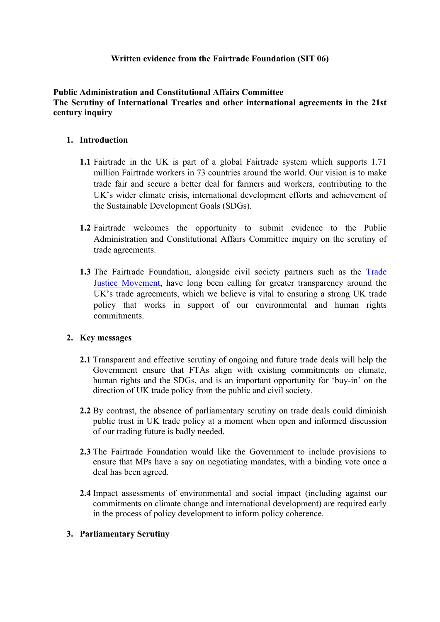# **Written evidence from the Fairtrade Foundation (SIT 06)**

## **Public Administration and Constitutional Affairs Committee The Scrutiny of International Treaties and other international agreements in the 21st century inquiry**

## **1. Introduction**

- **1.1** Fairtrade in the UK is part of a global Fairtrade system which supports 1.71 million Fairtrade workers in 73 countries around the world. Our vision is to make trade fair and secure a better deal for farmers and workers, contributing to the UK's wider climate crisis, international development efforts and achievement of the Sustainable Development Goals (SDGs).
- **1.2** Fairtrade welcomes the opportunity to submit evidence to the Public Administration and Constitutional Affairs Committee inquiry on the scrutiny of trade agreements.
- **1.3** The Fairtrade Foundation, alongside civil society partners such as the [Trade](https://www.tjm.org.uk/trade-issues/democracy-and-transparency) [Justice](https://www.tjm.org.uk/trade-issues/democracy-and-transparency) [Movement,](https://www.tjm.org.uk/trade-issues/democracy-and-transparency) have long been calling for greater transparency around the UK's trade agreements, which we believe is vital to ensuring a strong UK trade policy that works in support of our environmental and human rights commitments.

### **2. Key messages**

- **2.1** Transparent and effective scrutiny of ongoing and future trade deals will help the Government ensure that FTAs align with existing commitments on climate, human rights and the SDGs, and is an important opportunity for 'buy-in' on the direction of UK trade policy from the public and civil society.
- **2.2** By contrast, the absence of parliamentary scrutiny on trade deals could diminish public trust in UK trade policy at a moment when open and informed discussion of our trading future is badly needed.
- **2.3** The Fairtrade Foundation would like the Government to include provisions to ensure that MPs have a say on negotiating mandates, with a binding vote once a deal has been agreed.
- **2.4** Impact assessments of environmental and social impact (including against our commitments on climate change and international development) are required early in the process of policy development to inform policy coherence.

### **3. Parliamentary Scrutiny**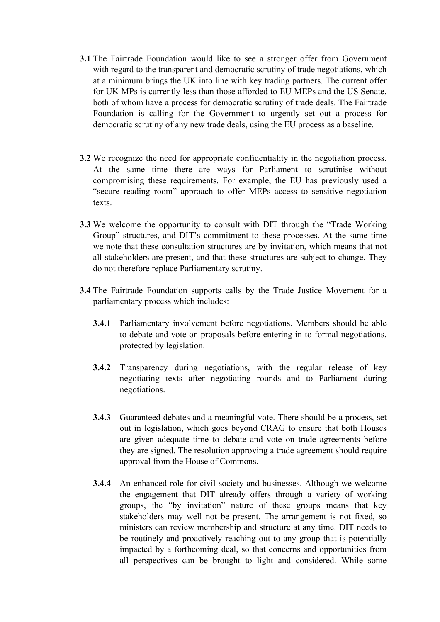- **3.1** The Fairtrade Foundation would like to see a stronger offer from Government with regard to the transparent and democratic scrutiny of trade negotiations, which at a minimum brings the UK into line with key trading partners. The current offer for UK MPs is currently less than those afforded to EU MEPs and the US Senate, both of whom have a process for democratic scrutiny of trade deals. The Fairtrade Foundation is calling for the Government to urgently set out a process for democratic scrutiny of any new trade deals, using the EU process as a baseline.
- **3.2** We recognize the need for appropriate confidentiality in the negotiation process. At the same time there are ways for Parliament to scrutinise without compromising these requirements. For example, the EU has previously used a "secure reading room" approach to offer MEPs access to sensitive negotiation texts.
- **3.3** We welcome the opportunity to consult with DIT through the "Trade Working Group" structures, and DIT's commitment to these processes. At the same time we note that these consultation structures are by invitation, which means that not all stakeholders are present, and that these structures are subject to change. They do not therefore replace Parliamentary scrutiny.
- **3.4** The Fairtrade Foundation supports calls by the Trade Justice Movement for a parliamentary process which includes:
	- **3.4.1** Parliamentary involvement before negotiations. Members should be able to debate and vote on proposals before entering in to formal negotiations, protected by legislation.
	- **3.4.2** Transparency during negotiations, with the regular release of key negotiating texts after negotiating rounds and to Parliament during negotiations.
	- **3.4.3** Guaranteed debates and a meaningful vote. There should be a process, set out in legislation, which goes beyond CRAG to ensure that both Houses are given adequate time to debate and vote on trade agreements before they are signed. The resolution approving a trade agreement should require approval from the House of Commons.
	- **3.4.4** An enhanced role for civil society and businesses. Although we welcome the engagement that DIT already offers through a variety of working groups, the "by invitation" nature of these groups means that key stakeholders may well not be present. The arrangement is not fixed, so ministers can review membership and structure at any time. DIT needs to be routinely and proactively reaching out to any group that is potentially impacted by a forthcoming deal, so that concerns and opportunities from all perspectives can be brought to light and considered. While some